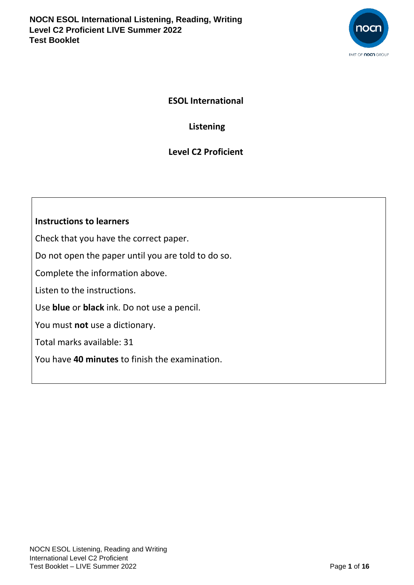

## **ESOL International**

**Listening** 

## **Level C2 Proficient**

## **Instructions to learners**

Check that you have the correct paper.

Do not open the paper until you are told to do so.

Complete the information above.

Listen to the instructions.

Use **blue** or **black** ink. Do not use a pencil.

You must **not** use a dictionary.

Total marks available: 31

You have **40 minutes** to finish the examination.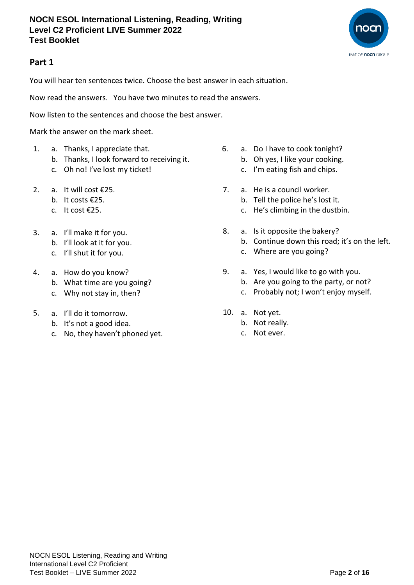

## **Part 1**

You will hear ten sentences twice. Choose the best answer in each situation.

Now read the answers. You have two minutes to read the answers.

Now listen to the sentences and choose the best answer.

Mark the answer on the mark sheet.

- 1. a. Thanks, I appreciate that.
	- b. Thanks, I look forward to receiving it.
	- c. Oh no! I've lost my ticket!
- 2. a. It will cost  $f$ 25.
	- b. It costs €25.
	- c. It cost €25.
- 3. a. I'll make it for you.
	- b. I'll look at it for you.
	- c. I'll shut it for you.
- 4. a. How do you know?
	- b. What time are you going?
	- c. Why not stay in, then?
- 5. a. I'll do it tomorrow.
	- b. It's not a good idea.
	- c. No, they haven't phoned yet.
- 6. a. Do I have to cook tonight?
	- b. Oh yes, I like your cooking.
	- c. I'm eating fish and chips.
- 7. a. He is a council worker.
	- b. Tell the police he's lost it.
	- c. He's climbing in the dustbin.
- 8. a. Is it opposite the bakery?
	- b. Continue down this road; it's on the left.
	- c. Where are you going?
- 9. a. Yes, I would like to go with you.
	- b. Are you going to the party, or not?
	- c. Probably not; I won't enjoy myself.
- 10. a. Not yet.
	- b. Not really.
	- c. Not ever.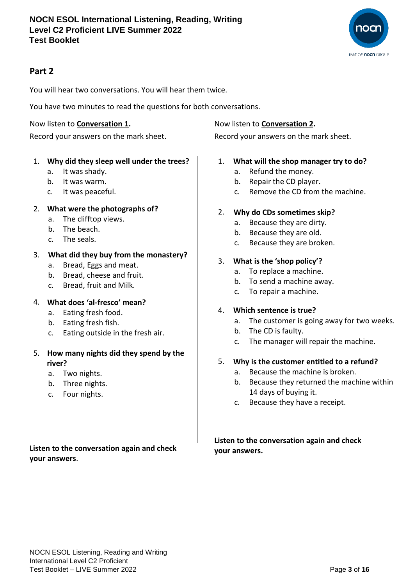

## **Part 2**

You will hear two conversations. You will hear them twice.

You have two minutes to read the questions for both conversations.

Now listen to **Conversation 1.**

Record your answers on the mark sheet.

- 1. **Why did they sleep well under the trees?**
	- a. It was shady.
	- b. It was warm.
	- c. It was peaceful.
- 2. **What were the photographs of?** 
	- a. The clifftop views.
	- b. The beach.
	- c. The seals.

#### 3. **What did they buy from the monastery?**

- a. Bread, Eggs and meat.
- b. Bread, cheese and fruit.
- c. Bread, fruit and Milk.

#### 4. **What does 'al-fresco' mean?**

- a. Eating fresh food.
- b. Eating fresh fish.
- c. Eating outside in the fresh air.
- 5. **How many nights did they spend by the river?** 
	- a. Two nights.
	- b. Three nights.
	- c. Four nights.

#### **Listen to the conversation again and check your answers**.

#### Now listen to **Conversation 2.**

Record your answers on the mark sheet.

#### 1. **What will the shop manager try to do?**

- a. Refund the money.
- b. Repair the CD player.
- c. Remove the CD from the machine.

#### 2. **Why do CDs sometimes skip?**

- a. Because they are dirty.
- b. Because they are old.
- c. Because they are broken.

#### 3. **What is the 'shop policy'?**

- a. To replace a machine.
- b. To send a machine away.
- c. To repair a machine.

#### 4. **Which sentence is true?**

- a. The customer is going away for two weeks.
- b. The CD is faulty.
- c. The manager will repair the machine.

#### 5. **Why is the customer entitled to a refund?**

- a. Because the machine is broken.
- b. Because they returned the machine within 14 days of buying it.
- c. Because they have a receipt.

#### **Listen to the conversation again and check your answers.**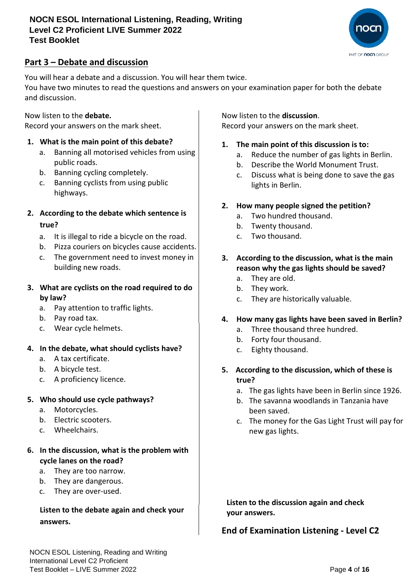## **NOCN ESOL International Listening, Reading, Writing Level C2 Proficient LIVE Summer 2022 Test Booklet**



## **Part 3 – Debate and discussion**

You will hear a debate and a discussion. You will hear them twice.

You have two minutes to read the questions and answers on your examination paper for both the debate and discussion.

Now listen to the **debate.** Record your answers on the mark sheet.

#### **1. What is the main point of this debate?**

- a. Banning all motorised vehicles from using public roads.
- b. Banning cycling completely.
- c. Banning cyclists from using public highways.
- **2. According to the debate which sentence is true?**
	- a. It is illegal to ride a bicycle on the road.
	- b. Pizza couriers on bicycles cause accidents.
	- c. The government need to invest money in building new roads.
- **3. What are cyclists on the road required to do by law?**
	- a. Pay attention to traffic lights.
	- b. Pay road tax.
	- c. Wear cycle helmets.

#### **4. In the debate, what should cyclists have?**

- a. A tax certificate.
- b. A bicycle test.
- c. A proficiency licence.

## **5. Who should use cycle pathways?**

- a. Motorcycles.
- b. Electric scooters.
- c. Wheelchairs.
- **6. In the discussion, what is the problem with cycle lanes on the road?**
	- a. They are too narrow.
	- b. They are dangerous.
	- c. They are over-used.

## **Listen to the debate again and check your answers.**

Now listen to the **discussion**. Record your answers on the mark sheet.

## **1. The main point of this discussion is to:**

- a. Reduce the number of gas lights in Berlin.
- b. Describe the World Monument Trust.
- c. Discuss what is being done to save the gas lights in Berlin.

#### **2. How many people signed the petition?**

- a. Two hundred thousand.
	- b. Twenty thousand.
- c. Two thousand.
- **3. According to the discussion, what is the main reason why the gas lights should be saved?**
	- a. They are old.
	- b. They work.
	- c. They are historically valuable.

## **4. How many gas lights have been saved in Berlin?**

- a. Three thousand three hundred.
- b. Forty four thousand.
- c. Eighty thousand.
- **5. According to the discussion, which of these is true?**
	- a. The gas lights have been in Berlin since 1926.
	- b. The savanna woodlands in Tanzania have been saved.
	- c. The money for the Gas Light Trust will pay for new gas lights.

**Listen to the discussion again and check your answers.**

**End of Examination Listening - Level C2**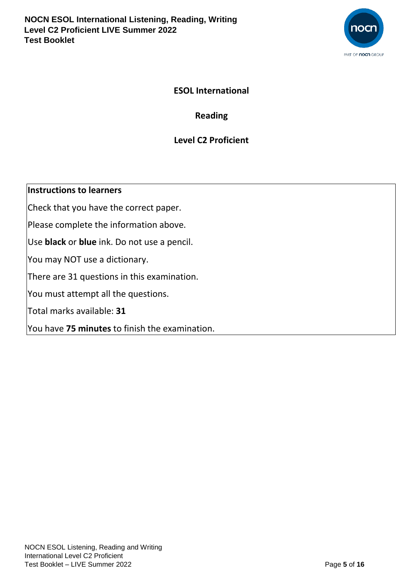

## **ESOL International**

**Reading** 

## **Level C2 Proficient**

## **Instructions to learners**

Check that you have the correct paper.

Please complete the information above.

Use **black** or **blue** ink. Do not use a pencil.

You may NOT use a dictionary.

There are 31 questions in this examination.

You must attempt all the questions.

Total marks available: **31**

You have **75 minutes** to finish the examination.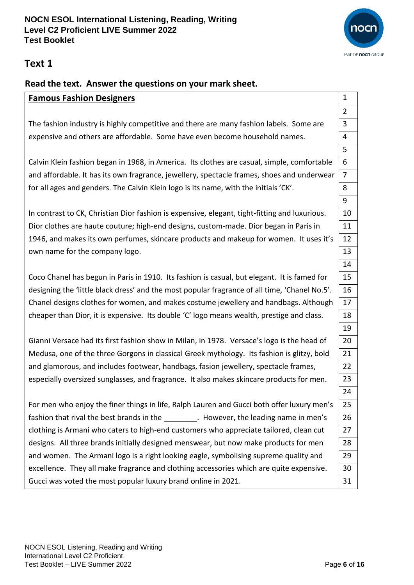

# **Text 1**

# **Read the text. Answer the questions on your mark sheet.**

## **Famous Fashion Designers** 1

The fashion industry is highly competitive and there are many fashion labels. Some are  $\vert$  3 expensive and others are affordable. Some have even become household names.  $\vert 4 \rangle$ 

Calvin Klein fashion began in 1968, in America. Its clothes are casual, simple, comfortable  $\vert 6$ and affordable. It has its own fragrance, jewellery, spectacle frames, shoes and underwear  $\vert$  7 for all ages and genders. The Calvin Klein logo is its name, with the initials 'CK'. 8

In contrast to CK, Christian Dior fashion is expensive, elegant, tight-fitting and luxurious.  $\vert$ Dior clothes are haute couture; high-end designs, custom-made. Dior began in Paris in  $\vert$ 1946, and makes its own perfumes, skincare products and makeup for women. It uses it's  $\parallel$ own name for the company logo. 13

Coco Chanel has begun in Paris in 1910. Its fashion is casual, but elegant. It is famed for  $\vert$ designing the 'little black dress' and the most popular fragrance of all time, 'Chanel No.5'. | 16 Chanel designs clothes for women, and makes costume jewellery and handbags. Although  $\parallel$ cheaper than Dior, it is expensive. Its double 'C' logo means wealth, prestige and class.  $\vert$ 

Gianni Versace had its first fashion show in Milan, in 1978. Versace's logo is the head of  $\Box$  20 Medusa, one of the three Gorgons in classical Greek mythology. Its fashion is glitzy, bold  $\begin{array}{c} |21 \end{array}$ and glamorous, and includes footwear, handbags, fasion jewellery, spectacle frames,  $\vert$  22 especially oversized sunglasses, and fragrance. It also makes skincare products for men. 23

For men who enjoy the finer things in life, Ralph Lauren and Gucci both offer luxury men's  $\parallel$  25 fashion that rival the best brands in the  $\Box$  . However, the leading name in men's 26 clothing is Armani who caters to high-end customers who appreciate tailored, clean cut  $\frac{27}{27}$ designs. All three brands initially designed menswear, but now make products for men 28 and women. The Armani logo is a right looking eagle, symbolising supreme quality and  $\vert$  29 excellence. They all make fragrance and clothing accessories which are quite expensive.  $\parallel$  30 Gucci was voted the most popular luxury brand online in 2021. **31** 31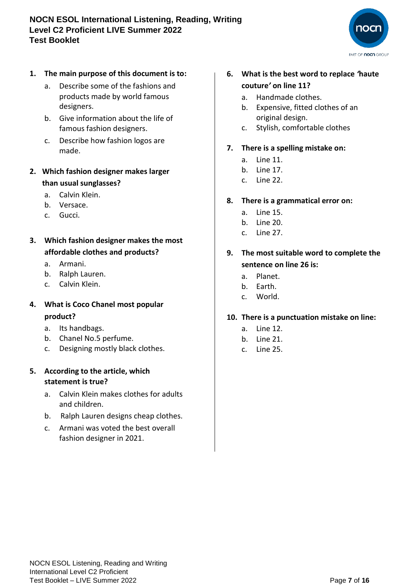

#### **1. The main purpose of this document is to:**

- a. Describe some of the fashions and products made by world famous designers.
- b. Give information about the life of famous fashion designers.
- c. Describe how fashion logos are made.

## **2. Which fashion designer makes larger than usual sunglasses?**

- a. Calvin Klein.
- b. Versace.
- c. Gucci.
- **3. Which fashion designer makes the most affordable clothes and products?**
	- a. Armani.
	- b. Ralph Lauren.
	- c. Calvin Klein.

## **4. What is Coco Chanel most popular product?**

- a. Its handbags.
- b. Chanel No.5 perfume.
- c. Designing mostly black clothes.

## **5. According to the article, which statement is true?**

- a. Calvin Klein makes clothes for adults and children.
- b. Ralph Lauren designs cheap clothes.
- c. Armani was voted the best overall fashion designer in 2021.

## **6. What is the best word to replace** *'***haute couture***'* **on line 11?**

- a. Handmade clothes.
- b. Expensive, fitted clothes of an original design.
- c. Stylish, comfortable clothes

#### **7. There is a spelling mistake on:**

- a. Line 11.
- b. Line 17.
- c. Line 22.

#### **8. There is a grammatical error on:**

- a. Line 15.
- b. Line 20.
- c. Line 27.
- **9. The most suitable word to complete the sentence on line 26 is:** 
	- a. Planet.
	- b. Earth.
	- c. World.

#### **10. There is a punctuation mistake on line:**

- a. Line 12.
- b. Line 21.
- c. Line 25.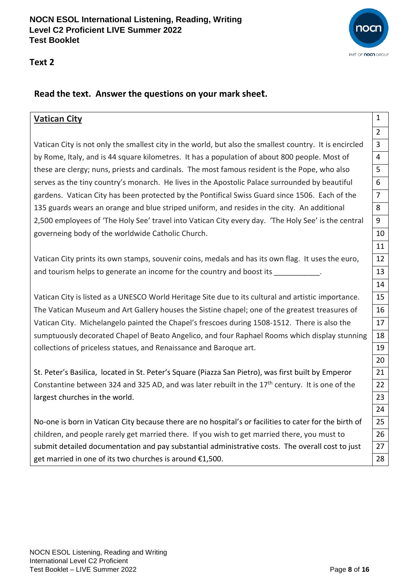

2

11

14

20

24

**Text 2** 

## **Read the text. Answer the questions on your mark sheet.**

# **Vatican City** 1 Vatican City is not only the smallest city in the world, but also the smallest country. It is encircled  $\parallel$  3 by Rome, Italy, and is 44 square kilometres. It has a population of about 800 people. Most of  $\vert 4 \rangle$ these are clergy; nuns, priests and cardinals. The most famous resident is the Pope, who also  $\vert 5 \rangle$ serves as the tiny country's monarch. He lives in the Apostolic Palace surrounded by beautiful  $\vert 6$ gardens. Vatican City has been protected by the Pontifical Swiss Guard since 1506. Each of the  $\vert 7$ 135 guards wears an orange and blue striped uniform, and resides in the city. An additional  $\vert 8$ 2,500 employees of 'The Holy See' travel into Vatican City every day. 'The Holy See' is the central 9 governeing body of the worldwide Catholic Church. 10 Vatican City prints its own stamps, souvenir coins, medals and has its own flag. It uses the euro,  $\vert 12 \rangle$ and tourism helps to generate an income for the country and boost its  $\vert$  13 Vatican City is listed as a UNESCO World Heritage Site due to its cultural and artistic importance. | 15

The Vatican Museum and Art Gallery houses the Sistine chapel; one of the greatest treasures of  $\vert$  16 Vatican City. Michelangelo painted the Chapel's frescoes during 1508-1512. There is also the 17 sumptuously decorated Chapel of Beato Angelico, and four Raphael Rooms which display stunning  $\vert$  18 collections of priceless statues, and Renaissance and Baroque art. 19

St. Peter's Basilica, located in St. Peter's Square (Piazza San Pietro), was first built by Emperor 21 Constantine between 324 and 325 AD, and was later rebuilt in the 17<sup>th</sup> century. It is one of the 22 largest churches in the world. 23

No-one is born in Vatican City because there are no hospital's or facilities to cater for the birth of  $\vert 25 \rangle$ children, and people rarely get married there. If you wish to get married there, you must to 26 submit detailed documentation and pay substantial administrative costs. The overall cost to just  $\frac{27}{27}$ get married in one of its two churches is around  $\epsilon$ 1,500. 28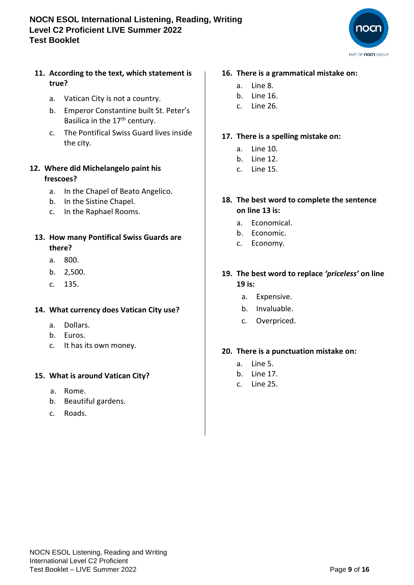

#### **11. According to the text, which statement is true?**

- a. Vatican City is not a country.
- b. Emperor Constantine built St. Peter's Basilica in the 17<sup>th</sup> century.
- c. The Pontifical Swiss Guard lives inside the city.

#### **12. Where did Michelangelo paint his frescoes?**

- a. In the Chapel of Beato Angelico.
- b. In the Sistine Chapel.
- c. In the Raphael Rooms.
- **13. How many Pontifical Swiss Guards are there?**
	- a. 800.
	- b. 2,500.
	- c. 135.

#### **14. What currency does Vatican City use?**

- a. Dollars.
- b. Euros.
- c. It has its own money.

#### **15. What is around Vatican City?**

- a. Rome.
- b. Beautiful gardens.
- c. Roads.

#### **16. There is a grammatical mistake on:**

- a. Line 8.
- b. Line 16.
- c. Line 26.

#### **17. There is a spelling mistake on:**

- a. Line 10.
- b. Line 12.
- c. Line 15.
- **18. The best word to complete the sentence on line 13 is:**
	- a. Economical.
	- b. Economic.
	- c. Economy.

## **19. The best word to replace** *'priceless'* **on line 19 is:**

- a. Expensive.
- b. Invaluable.
- c. Overpriced.

#### **20. There is a punctuation mistake on:**

- a. Line 5.
- b. Line 17.
- c. Line 25.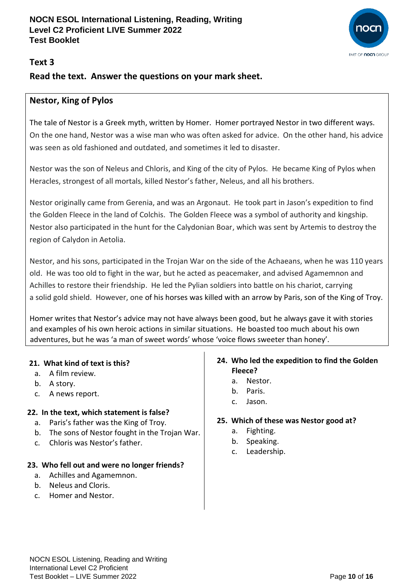

## **Text 3**

## **Read the text. Answer the questions on your mark sheet.**

## **Nestor, King of Pylos**

The tale of Nestor is a Greek myth, written by Homer. Homer portrayed Nestor in two different ways. On the one hand, Nestor was a wise man who was often asked for advice. On the other hand, his advice was seen as old fashioned and outdated, and sometimes it led to disaster.

Nestor was the son of Neleus and Chloris, and King of the city of Pylos. He became King of Pylos when Heracles, strongest of all mortals, killed Nestor's father, Neleus, and all his brothers.

Nestor originally came from Gerenia, and was an Argonaut. He took part in Jason's expedition to find the Golden Fleece in the land of Colchis. The Golden Fleece was a symbol of authority and kingship. Nestor also participated in the hunt for the Calydonian Boar, which was sent by Artemis to destroy the region of Calydon in Aetolia.

Nestor, and his sons, participated in the Trojan War on the side of the Achaeans, when he was 110 years old. He was too old to fight in the war, but he acted as peacemaker, and advised Agamemnon and Achilles to restore their friendship. He led the Pylian soldiers into battle on his chariot, carrying a solid gold shield. However, one of his horses was killed with an arrow by Paris, son of the King of Troy.

Homer writes that Nestor's advice may not have always been good, but he always gave it with stories and examples of his own heroic actions in similar situations. He boasted too much about his own adventures, but he was 'a man of sweet words' whose 'voice flows sweeter than honey'.

#### **21. What kind of text is this?**

- a. A film review.
- b. A story.
- c. A news report.

## **22. In the text, which statement is false?**

- a. Paris's father was the King of Troy.
- b. The sons of Nestor fought in the Trojan War.
- c. Chloris was Nestor's father.

#### **23. Who fell out and were no longer friends?**

- a. Achilles and Agamemnon.
- b. Neleus and Cloris.
- c. Homer and Nestor.

## **24. Who led the expedition to find the Golden Fleece?**

- a. Nestor.
- b. Paris.
- c. Jason.

## **25. Which of these was Nestor good at?**

- a. Fighting.
- b. Speaking.
- c. Leadership.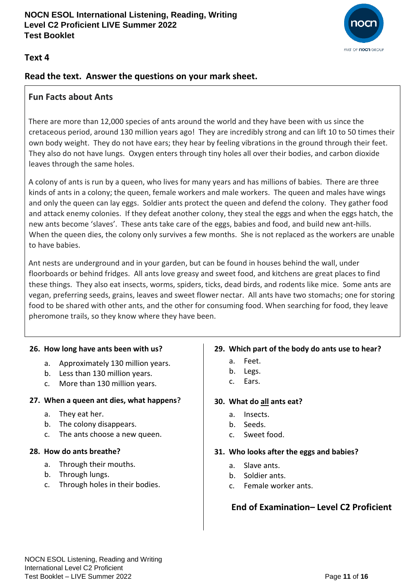

## **Text 4**

## **Read the text. Answer the questions on your mark sheet.**

## **Fun Facts about Ants**

There are more than 12,000 species of ants around the world and they have been with us since the cretaceous period, around 130 million years ago! They are incredibly strong and can lift 10 to 50 times their own body weight. They do not have ears; they hear by feeling vibrations in the ground through their feet. They also do not have lungs. Oxygen enters through tiny holes all over their bodies, and carbon dioxide leaves through the same holes.

A colony of ants is run by a queen, who lives for many years and has millions of babies. There are three kinds of ants in a colony; the queen, female workers and male workers. The queen and males have wings and only the queen can lay eggs. Soldier ants protect the queen and defend the colony. They gather food and attack enemy colonies. If they defeat another colony, they steal the eggs and when the eggs hatch, the new ants become 'slaves'. These ants take care of the eggs, babies and food, and build new ant-hills. When the queen dies, the colony only survives a few months. She is not replaced as the workers are unable to have babies.

Ant nests are underground and in your garden, but can be found in houses behind the wall, under floorboards or behind fridges. All ants love greasy and sweet food, and kitchens are great places to find these things. They also eat insects, worms, spiders, ticks, dead birds, and rodents like mice. Some ants are vegan, preferring seeds, grains, leaves and sweet flower nectar. All ants have two stomachs; one for storing food to be shared with other ants, and the other for consuming food. When searching for food, they leave pheromone trails, so they know where they have been.

#### **26. How long have ants been with us?**

- a. Approximately 130 million years.
- b. Less than 130 million years.
- c. More than 130 million years.

## **27. When a queen ant dies, what happens?**

- a. They eat her.
- b. The colony disappears.
- c. The ants choose a new queen.

#### **28. How do ants breathe?**

- a. Through their mouths.
- b. Through lungs.
- c. Through holes in their bodies.

## **29. Which part of the body do ants use to hear?**

- a. Feet.
- b. Legs.
- c. Ears.

## **30. What do all ants eat?**

- a. Insects.
- b. Seeds.
- c. Sweet food.

#### **31. Who looks after the eggs and babies?**

- a. Slave ants.
- b. Soldier ants.
- c. Female worker ants.

# **End of Examination– Level C2 Proficient**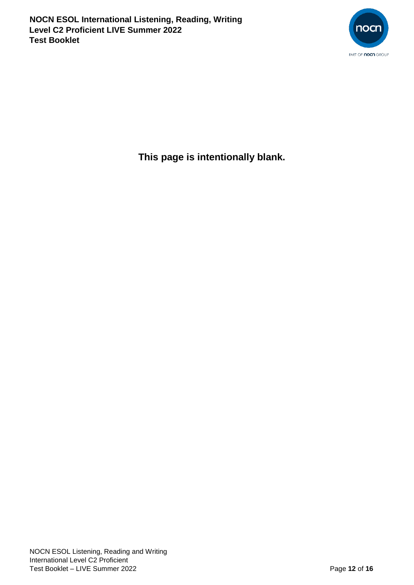

**This page is intentionally blank.**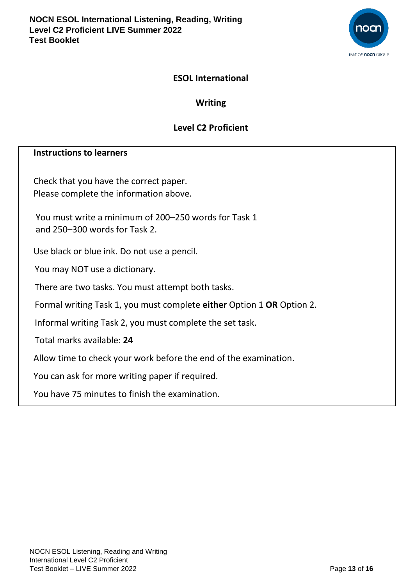

## **ESOL International**

**Writing** 

## **Level C2 Proficient**

#### **Instructions to learners**

Check that you have the correct paper. Please complete the information above.

You must write a minimum of 200–250 words for Task 1 and 250–300 words for Task 2.

Use black or blue ink. Do not use a pencil.

You may NOT use a dictionary.

There are two tasks. You must attempt both tasks.

Formal writing Task 1, you must complete **either** Option 1 **OR** Option 2.

Informal writing Task 2, you must complete the set task.

Total marks available: **24**

Allow time to check your work before the end of the examination.

You can ask for more writing paper if required.

You have 75 minutes to finish the examination.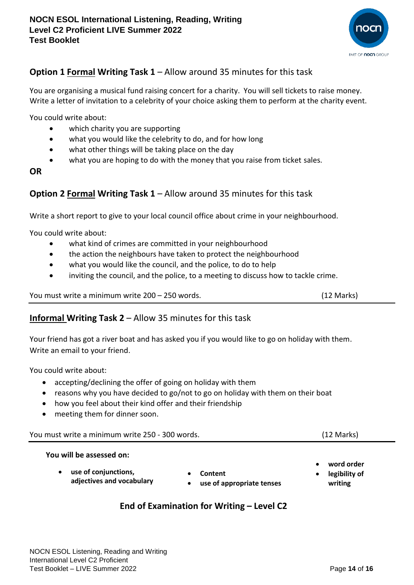

# **Option 1 Formal Writing Task 1** – Allow around 35 minutes for this task

You are organising a musical fund raising concert for a charity. You will sell tickets to raise money. Write a letter of invitation to a celebrity of your choice asking them to perform at the charity event.

You could write about:

- which charity you are supporting
- what you would like the celebrity to do, and for how long
- what other things will be taking place on the day
- what you are hoping to do with the money that you raise from ticket sales.

**OR**

## **Option 2 Formal Writing Task 1** – Allow around 35 minutes for this task

Write a short report to give to your local council office about crime in your neighbourhood.

You could write about:

- what kind of crimes are committed in your neighbourhood
- the action the neighbours have taken to protect the neighbourhood
- what you would like the council, and the police, to do to help
- inviting the council, and the police, to a meeting to discuss how to tackle crime.

You must write a minimum write 200 – 250 words. (12 Marks)

## **Informal Writing Task 2** – Allow 35 minutes for this task

Your friend has got a river boat and has asked you if you would like to go on holiday with them. Write an email to your friend.

You could write about:

- accepting/declining the offer of going on holiday with them
- reasons why you have decided to go/not to go on holiday with them on their boat
- how you feel about their kind offer and their friendship
- meeting them for dinner soon.

#### You must write a minimum write 250 - 300 words. (12 Marks)

#### **You will be assessed on:**

- **use of conjunctions, adjectives and vocabulary**
- **Content**

**End of Examination for Writing – Level C2**

- **use of appropriate tenses**
- **word order**
- **legibility of**
- **writing**

#### NOCN ESOL Listening, Reading and Writing International Level C2 Proficient Test Booklet – LIVE Summer 2022 Page **14** of **16**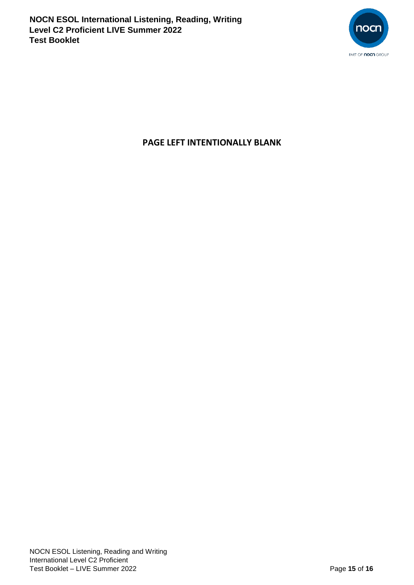

# **PAGE LEFT INTENTIONALLY BLANK**